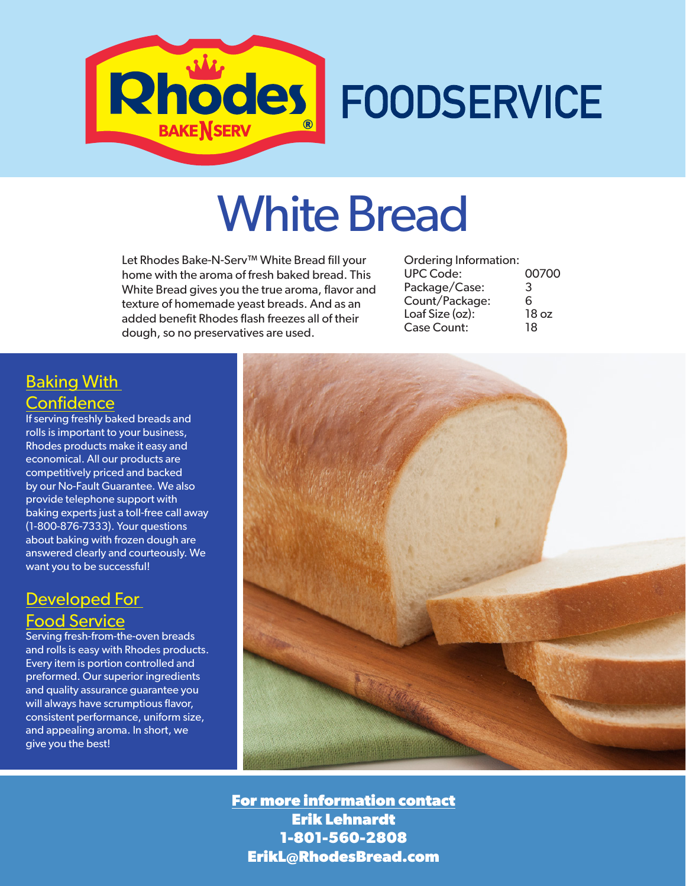

# White Bread

Let Rhodes Bake-N-Serv™ White Bread fill your home with the aroma of fresh baked bread. This White Bread gives you the true aroma, flavor and texture of homemade yeast breads. And as an added benefit Rhodes flash freezes all of their dough, so no preservatives are used.

| Ordering Information: |       |
|-----------------------|-------|
| <b>UPC Code:</b>      | 00700 |
| Package/Case:         | 3     |
| Count/Package:        | 6     |
| Loaf Size (oz):       | 18 oz |
| <b>Case Count:</b>    | 18    |
|                       |       |

### Baking With **Confidence**

If serving freshly baked breads and rolls is important to your business, Rhodes products make it easy and economical. All our products are competitively priced and backed by our No-Fault Guarantee. We also provide telephone support with baking experts just a toll-free call away (1-800-876-7333). Your questions about baking with frozen dough are answered clearly and courteously. We want you to be successful!

#### Developed For Food Service

Serving fresh-from-the-oven breads and rolls is easy with Rhodes products. Every item is portion controlled and preformed. Our superior ingredients and quality assurance guarantee you will always have scrumptious flavor, consistent performance, uniform size, and appealing aroma. In short, we give you the best!



**For more information contact Erik Lehnardt 1-801-560-2808 ErikL@RhodesBread.com**